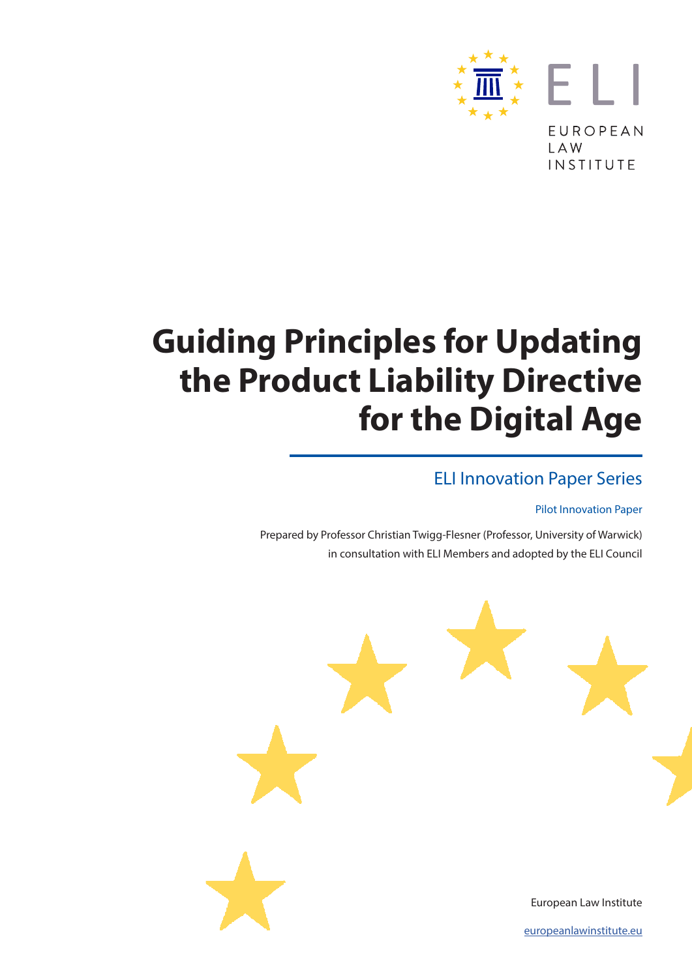

# **Guiding Principles for Updating the Product Liability Directive for the Digital Age**

#### ELI Innovation Paper Series

#### Pilot Innovation Paper

Prepared by Professor Christian Twigg-Flesner (Professor, University of Warwick) in consultation with ELI Members and adopted by the ELI Council



[europeanlawinstitute.eu](https://www.europeanlawinstitute.eu)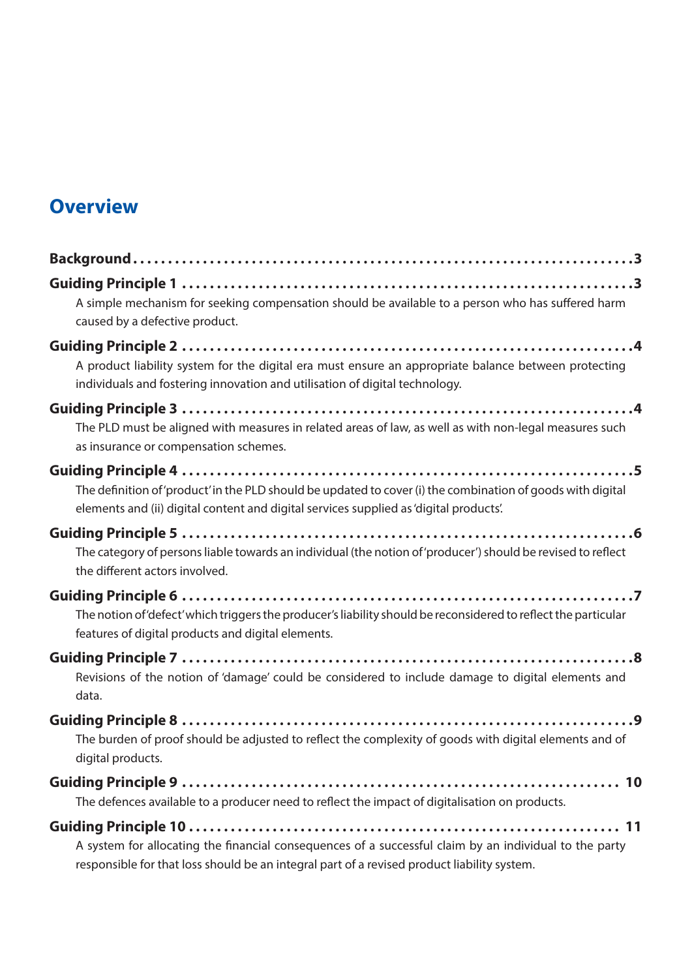#### **Overview**

| A simple mechanism for seeking compensation should be available to a person who has suffered harm<br>caused by a defective product.                                                                   |
|-------------------------------------------------------------------------------------------------------------------------------------------------------------------------------------------------------|
| A product liability system for the digital era must ensure an appropriate balance between protecting<br>individuals and fostering innovation and utilisation of digital technology.                   |
| The PLD must be aligned with measures in related areas of law, as well as with non-legal measures such<br>as insurance or compensation schemes.                                                       |
| The definition of 'product' in the PLD should be updated to cover (i) the combination of goods with digital<br>elements and (ii) digital content and digital services supplied as 'digital products'. |
| The category of persons liable towards an individual (the notion of 'producer') should be revised to reflect<br>the different actors involved.                                                        |
| The notion of 'defect' which triggers the producer's liability should be reconsidered to reflect the particular<br>features of digital products and digital elements.                                 |
| Revisions of the notion of 'damage' could be considered to include damage to digital elements and<br>data.                                                                                            |
| The burden of proof should be adjusted to reflect the complexity of goods with digital elements and of<br>digital products.                                                                           |
| The defences available to a producer need to reflect the impact of digitalisation on products.                                                                                                        |
| A system for allocating the financial consequences of a successful claim by an individual to the party                                                                                                |

responsible for that loss should be an integral part of a revised product liability system.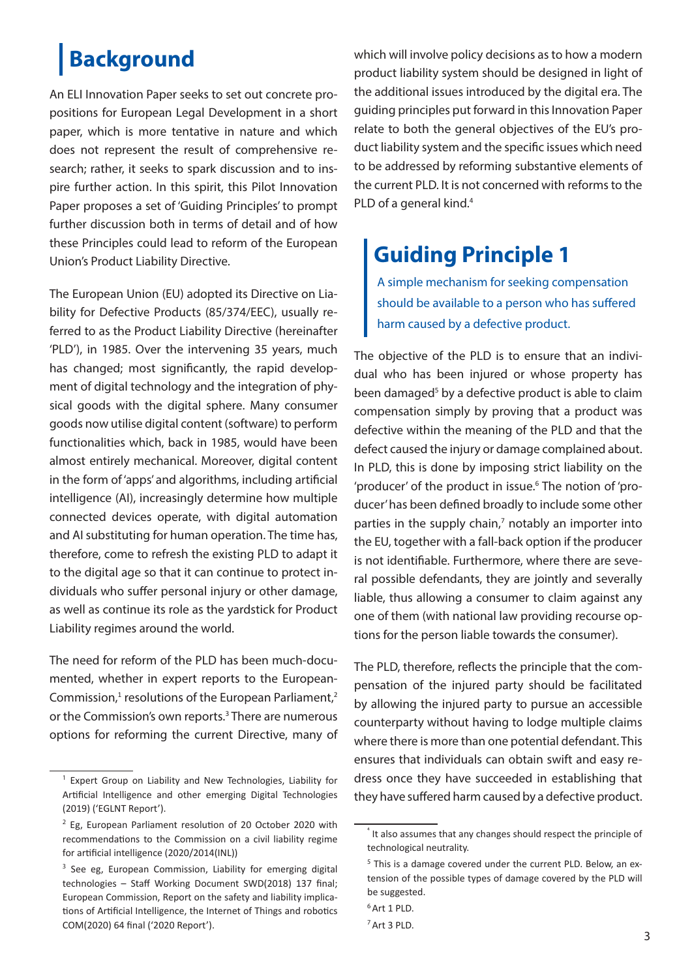## <span id="page-2-0"></span>**Background**

An ELI Innovation Paper seeks to set out concrete propositions for European Legal Development in a short paper, which is more tentative in nature and which does not represent the result of comprehensive research; rather, it seeks to spark discussion and to inspire further action. In this spirit, this Pilot Innovation Paper proposes a set of 'Guiding Principles' to prompt further discussion both in terms of detail and of how these Principles could lead to reform of the European Union's Product Liability Directive.

The European Union (EU) adopted its Directive on Liability for Defective Products (85/374/EEC), usually referred to as the Product Liability Directive (hereinafter 'PLD'), in 1985. Over the intervening 35 years, much has changed; most significantly, the rapid development of digital technology and the integration of physical goods with the digital sphere. Many consumer goods now utilise digital content (software) to perform functionalities which, back in 1985, would have been almost entirely mechanical. Moreover, digital content in the form of 'apps' and algorithms, including artificial intelligence (AI), increasingly determine how multiple connected devices operate, with digital automation and AI substituting for human operation. The time has, therefore, come to refresh the existing PLD to adapt it to the digital age so that it can continue to protect individuals who suffer personal injury or other damage, as well as continue its role as the yardstick for Product Liability regimes around the world.

The need for reform of the PLD has been much-documented, whether in expert reports to the European-Commission, $1$  resolutions of the European Parliament, $2$ or the Commission's own reports.<sup>3</sup> There are numerous options for reforming the current Directive, many of which will involve policy decisions as to how a modern product liability system should be designed in light of the additional issues introduced by the digital era. The guiding principles put forward in this Innovation Paper relate to both the general objectives of the EU's product liability system and the specific issues which need to be addressed by reforming substantive elements of the current PLD. It is not concerned with reforms to the PLD of a general kind.<sup>4</sup>

### **Guiding Principle 1**

A simple mechanism for seeking compensation should be available to a person who has suffered harm caused by a defective product.

The objective of the PLD is to ensure that an individual who has been injured or whose property has been damaged<sup>5</sup> by a defective product is able to claim compensation simply by proving that a product was defective within the meaning of the PLD and that the defect caused the injury or damage complained about. In PLD, this is done by imposing strict liability on the 'producer' of the product in issue.<sup>6</sup> The notion of 'producer' has been defined broadly to include some other parties in the supply chain, $<sup>7</sup>$  notably an importer into</sup> the EU, together with a fall-back option if the producer is not identifiable. Furthermore, where there are several possible defendants, they are jointly and severally liable, thus allowing a consumer to claim against any one of them (with national law providing recourse options for the person liable towards the consumer).

The PLD, therefore, reflects the principle that the compensation of the injured party should be facilitated by allowing the injured party to pursue an accessible counterparty without having to lodge multiple claims where there is more than one potential defendant. This ensures that individuals can obtain swift and easy redress once they have succeeded in establishing that they have suffered harm caused by a defective product.

<sup>&</sup>lt;sup>1</sup> Expert Group on Liability and New Technologies, Liability for Artificial Intelligence and other emerging Digital Technologies (2019) ('EGLNT Report').

 $2$  Eg. European Parliament resolution of 20 October 2020 with recommendations to the Commission on a civil liability regime for artificial intelligence (2020/2014(INL))

<sup>&</sup>lt;sup>3</sup> See eg, European Commission, Liability for emerging digital technologies – Staff Working Document SWD(2018) 137 final; European Commission, Report on the safety and liability implications of Artificial Intelligence, the Internet of Things and robotics COM(2020) 64 final ('2020 Report').

It also assumes that any changes should respect the principle of technological neutrality.

 $5$  This is a damage covered under the current PLD. Below, an extension of the possible types of damage covered by the PLD will be suggested.

<sup>6</sup>Art 1 PLD.

<sup>7</sup>Art 3 PLD.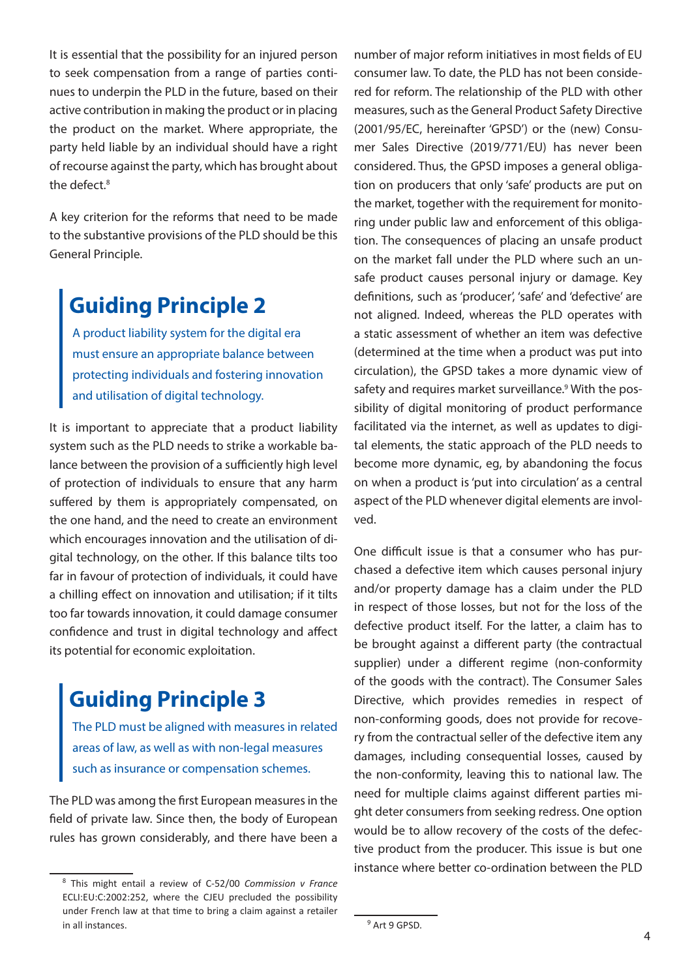<span id="page-3-0"></span>It is essential that the possibility for an injured person to seek compensation from a range of parties continues to underpin the PLD in the future, based on their active contribution in making the product or in placing the product on the market. Where appropriate, the party held liable by an individual should have a right of recourse against the party, which has brought about the defect.<sup>8</sup>

A key criterion for the reforms that need to be made to the substantive provisions of the PLD should be this General Principle.

### **Guiding Principle 2**

A product liability system for the digital era must ensure an appropriate balance between protecting individuals and fostering innovation and utilisation of digital technology.

It is important to appreciate that a product liability system such as the PLD needs to strike a workable balance between the provision of a sufficiently high level of protection of individuals to ensure that any harm suffered by them is appropriately compensated, on the one hand, and the need to create an environment which encourages innovation and the utilisation of digital technology, on the other. If this balance tilts too far in favour of protection of individuals, it could have a chilling effect on innovation and utilisation; if it tilts too far towards innovation, it could damage consumer confidence and trust in digital technology and affect its potential for economic exploitation.

#### **Guiding Principle 3**

The PLD must be aligned with measures in related areas of law, as well as with non-legal measures such as insurance or compensation schemes.

The PLD was among the first European measures in the field of private law. Since then, the body of European rules has grown considerably, and there have been a

number of major reform initiatives in most fields of EU consumer law. To date, the PLD has not been considered for reform. The relationship of the PLD with other measures, such as the General Product Safety Directive (2001/95/EC, hereinafter 'GPSD') or the (new) Consumer Sales Directive (2019/771/EU) has never been considered. Thus, the GPSD imposes a general obligation on producers that only 'safe' products are put on the market, together with the requirement for monitoring under public law and enforcement of this obligation. The consequences of placing an unsafe product on the market fall under the PLD where such an unsafe product causes personal injury or damage. Key definitions, such as 'producer', 'safe' and 'defective' are not aligned. Indeed, whereas the PLD operates with a static assessment of whether an item was defective (determined at the time when a product was put into circulation), the GPSD takes a more dynamic view of safety and requires market surveillance.<sup>9</sup> With the possibility of digital monitoring of product performance facilitated via the internet, as well as updates to digital elements, the static approach of the PLD needs to become more dynamic, eg, by abandoning the focus on when a product is 'put into circulation' as a central aspect of the PLD whenever digital elements are involved.

One difficult issue is that a consumer who has purchased a defective item which causes personal injury and/or property damage has a claim under the PLD in respect of those losses, but not for the loss of the defective product itself. For the latter, a claim has to be brought against a different party (the contractual supplier) under a different regime (non-conformity of the goods with the contract). The Consumer Sales Directive, which provides remedies in respect of non-conforming goods, does not provide for recovery from the contractual seller of the defective item any damages, including consequential losses, caused by the non-conformity, leaving this to national law. The need for multiple claims against different parties might deter consumers from seeking redress. One option would be to allow recovery of the costs of the defective product from the producer. This issue is but one instance where better co-ordination between the PLD

<sup>8</sup> This might entail a review of C-52/00 *Commission v France* ECLI:EU:C:2002:252, where the CJEU precluded the possibility under French law at that time to bring a claim against a retailer in all instances.

<sup>9</sup> Art 9 GPSD.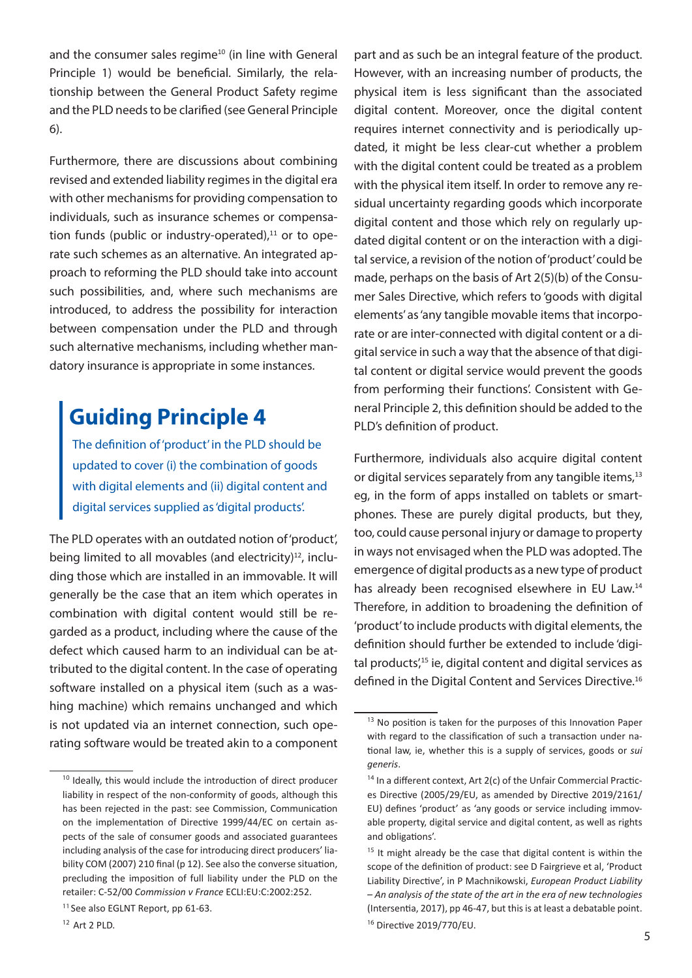<span id="page-4-0"></span>and the consumer sales regime<sup>10</sup> (in line with General Principle 1) would be beneficial. Similarly, the relationship between the General Product Safety regime and the PLD needs to be clarified (see General Principle 6).

Furthermore, there are discussions about combining revised and extended liability regimes in the digital era with other mechanisms for providing compensation to individuals, such as insurance schemes or compensation funds (public or industry-operated), $11$  or to operate such schemes as an alternative. An integrated approach to reforming the PLD should take into account such possibilities, and, where such mechanisms are introduced, to address the possibility for interaction between compensation under the PLD and through such alternative mechanisms, including whether mandatory insurance is appropriate in some instances.

### **Guiding Principle 4**

The definition of 'product' in the PLD should be updated to cover (i) the combination of goods with digital elements and (ii) digital content and digital services supplied as 'digital products'.

The PLD operates with an outdated notion of 'product', being limited to all movables (and electricity) $12$ , including those which are installed in an immovable. It will generally be the case that an item which operates in combination with digital content would still be regarded as a product, including where the cause of the defect which caused harm to an individual can be attributed to the digital content. In the case of operating software installed on a physical item (such as a washing machine) which remains unchanged and which is not updated via an internet connection, such operating software would be treated akin to a component

part and as such be an integral feature of the product. However, with an increasing number of products, the physical item is less significant than the associated digital content. Moreover, once the digital content requires internet connectivity and is periodically updated, it might be less clear-cut whether a problem with the digital content could be treated as a problem with the physical item itself. In order to remove any residual uncertainty regarding goods which incorporate digital content and those which rely on regularly updated digital content or on the interaction with a digital service, a revision of the notion of 'product' could be made, perhaps on the basis of Art 2(5)(b) of the Consumer Sales Directive, which refers to 'goods with digital elements' as 'any tangible movable items that incorporate or are inter-connected with digital content or a digital service in such a way that the absence of that digital content or digital service would prevent the goods from performing their functions'. Consistent with General Principle 2, this definition should be added to the PLD's definition of product.

Furthermore, individuals also acquire digital content or digital services separately from any tangible items,<sup>13</sup> eg, in the form of apps installed on tablets or smartphones. These are purely digital products, but they, too, could cause personal injury or damage to property in ways not envisaged when the PLD was adopted. The emergence of digital products as a new type of product has already been recognised elsewhere in EU Law.<sup>14</sup> Therefore, in addition to broadening the definition of 'product' to include products with digital elements, the definition should further be extended to include 'digital products',15 ie, digital content and digital services as defined in the Digital Content and Services Directive.<sup>16</sup>

<sup>&</sup>lt;sup>10</sup> Ideally, this would include the introduction of direct producer liability in respect of the non-conformity of goods, although this has been rejected in the past: see Commission, Communication on the implementation of Directive 1999/44/EC on certain aspects of the sale of consumer goods and associated guarantees including analysis of the case for introducing direct producers' liability COM (2007) 210 final (p 12). See also the converse situation, precluding the imposition of full liability under the PLD on the retailer: C-52/00 *Commission v France* ECLI:EU:C:2002:252.

<sup>&</sup>lt;sup>11</sup> See also EGLNT Report, pp 61-63.

<sup>12</sup> Art 2 PLD.

<sup>&</sup>lt;sup>13</sup> No position is taken for the purposes of this Innovation Paper with regard to the classification of such a transaction under national law, ie, whether this is a supply of services, goods or *sui generis*.

<sup>&</sup>lt;sup>14</sup> In a different context, Art 2(c) of the Unfair Commercial Practices Directive (2005/29/EU, as amended by Directive 2019/2161/ EU) defines 'product' as 'any goods or service including immovable property, digital service and digital content, as well as rights and obligations'.

<sup>&</sup>lt;sup>15</sup> It might already be the case that digital content is within the scope of the definition of product: see D Fairgrieve et al, 'Product Liability Directive', in P Machnikowski, *European Product Liability – An analysis of the state of the art in the era of new technologies*  (Intersentia, 2017), pp 46-47, but this is at least a debatable point. <sup>16</sup> Directive 2019/770/EU.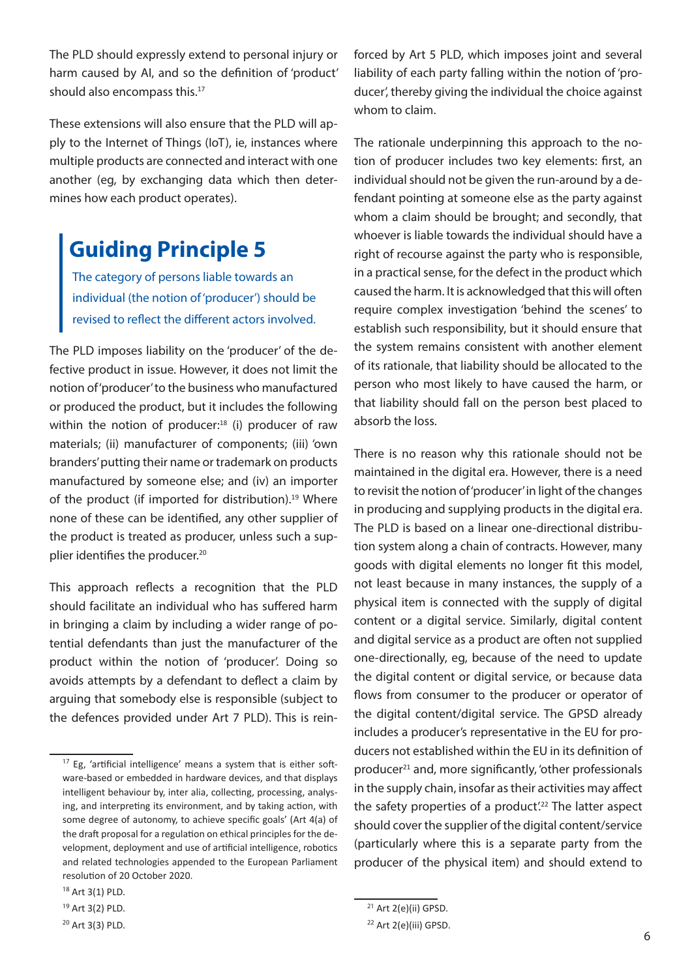<span id="page-5-0"></span>The PLD should expressly extend to personal injury or harm caused by AI, and so the definition of 'product' should also encompass this.<sup>17</sup>

These extensions will also ensure that the PLD will apply to the Internet of Things (IoT), ie, instances where multiple products are connected and interact with one another (eg, by exchanging data which then determines how each product operates).

### **Guiding Principle 5**

The category of persons liable towards an individual (the notion of 'producer') should be revised to reflect the different actors involved.

The PLD imposes liability on the 'producer' of the defective product in issue. However, it does not limit the notion of 'producer' to the business who manufactured or produced the product, but it includes the following within the notion of producer: $18$  (i) producer of raw materials; (ii) manufacturer of components; (iii) 'own branders' putting their name or trademark on products manufactured by someone else; and (iv) an importer of the product (if imported for distribution).<sup>19</sup> Where none of these can be identified, any other supplier of the product is treated as producer, unless such a supplier identifies the producer.<sup>20</sup>

This approach reflects a recognition that the PLD should facilitate an individual who has suffered harm in bringing a claim by including a wider range of potential defendants than just the manufacturer of the product within the notion of 'producer'. Doing so avoids attempts by a defendant to deflect a claim by arguing that somebody else is responsible (subject to the defences provided under Art 7 PLD). This is reinforced by Art 5 PLD, which imposes joint and several liability of each party falling within the notion of 'producer', thereby giving the individual the choice against whom to claim.

The rationale underpinning this approach to the notion of producer includes two key elements: first, an individual should not be given the run-around by a defendant pointing at someone else as the party against whom a claim should be brought; and secondly, that whoever is liable towards the individual should have a right of recourse against the party who is responsible, in a practical sense, for the defect in the product which caused the harm. It is acknowledged that this will often require complex investigation 'behind the scenes' to establish such responsibility, but it should ensure that the system remains consistent with another element of its rationale, that liability should be allocated to the person who most likely to have caused the harm, or that liability should fall on the person best placed to absorb the loss.

There is no reason why this rationale should not be maintained in the digital era. However, there is a need to revisit the notion of 'producer' in light of the changes in producing and supplying products in the digital era. The PLD is based on a linear one-directional distribution system along a chain of contracts. However, many goods with digital elements no longer fit this model, not least because in many instances, the supply of a physical item is connected with the supply of digital content or a digital service. Similarly, digital content and digital service as a product are often not supplied one-directionally, eg, because of the need to update the digital content or digital service, or because data flows from consumer to the producer or operator of the digital content/digital service. The GPSD already includes a producer's representative in the EU for producers not established within the EU in its definition of producer<sup>21</sup> and, more significantly, 'other professionals in the supply chain, insofar as their activities may affect the safety properties of a product'.<sup>22</sup> The latter aspect should cover the supplier of the digital content/service (particularly where this is a separate party from the producer of the physical item) and should extend to

<sup>&</sup>lt;sup>17</sup> Eg, 'artificial intelligence' means a system that is either software-based or embedded in hardware devices, and that displays intelligent behaviour by, inter alia, collecting, processing, analysing, and interpreting its environment, and by taking action, with some degree of autonomy, to achieve specific goals' (Art 4(a) of the draft proposal for a regulation on ethical principles for the development, deployment and use of artificial intelligence, robotics and related technologies appended to the European Parliament resolution of 20 October 2020.

<sup>18</sup> Art 3(1) PLD.

<sup>19</sup> Art 3(2) PLD.

<sup>20</sup> Art 3(3) PLD.

 $21$  Art 2(e)(ii) GPSD.

<sup>22</sup> Art 2(e)(iii) GPSD.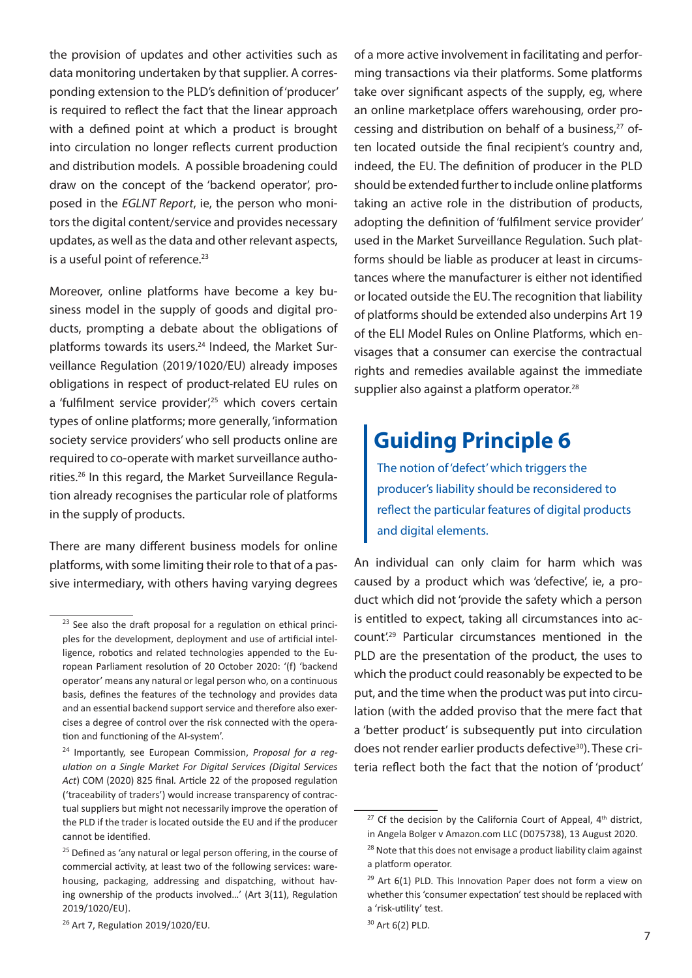<span id="page-6-0"></span>the provision of updates and other activities such as data monitoring undertaken by that supplier. A corresponding extension to the PLD's definition of 'producer' is required to reflect the fact that the linear approach with a defined point at which a product is brought into circulation no longer reflects current production and distribution models. A possible broadening could draw on the concept of the 'backend operator', proposed in the *EGLNT Report*, ie, the person who monitors the digital content/service and provides necessary updates, as well as the data and other relevant aspects, is a useful point of reference.<sup>23</sup>

Moreover, online platforms have become a key business model in the supply of goods and digital products, prompting a debate about the obligations of platforms towards its users.<sup>24</sup> Indeed, the Market Surveillance Regulation (2019/1020/EU) already imposes obligations in respect of product-related EU rules on a 'fulfilment service provider',<sup>25</sup> which covers certain types of online platforms; more generally, 'information society service providers' who sell products online are required to co-operate with market surveillance authorities.26 In this regard, the Market Surveillance Regulation already recognises the particular role of platforms in the supply of products.

There are many different business models for online platforms, with some limiting their role to that of a passive intermediary, with others having varying degrees

of a more active involvement in facilitating and performing transactions via their platforms. Some platforms take over significant aspects of the supply, eg, where an online marketplace offers warehousing, order processing and distribution on behalf of a business, $27$  often located outside the final recipient's country and, indeed, the EU. The definition of producer in the PLD should be extended further to include online platforms taking an active role in the distribution of products, adopting the definition of 'fulfilment service provider' used in the Market Surveillance Regulation. Such platforms should be liable as producer at least in circumstances where the manufacturer is either not identified or located outside the EU. The recognition that liability of platforms should be extended also underpins Art 19 of the ELI Model Rules on Online Platforms, which envisages that a consumer can exercise the contractual rights and remedies available against the immediate supplier also against a platform operator.<sup>28</sup>

#### **Guiding Principle 6**

The notion of 'defect' which triggers the producer's liability should be reconsidered to reflect the particular features of digital products and digital elements.

An individual can only claim for harm which was caused by a product which was 'defective', ie, a product which did not 'provide the safety which a person is entitled to expect, taking all circumstances into account'.<sup>29</sup> Particular circumstances mentioned in the PLD are the presentation of the product, the uses to which the product could reasonably be expected to be put, and the time when the product was put into circulation (with the added proviso that the mere fact that a 'better product' is subsequently put into circulation does not render earlier products defective<sup>30</sup>). These criteria reflect both the fact that the notion of 'product'

 $23$  See also the draft proposal for a regulation on ethical principles for the development, deployment and use of artificial intelligence, robotics and related technologies appended to the European Parliament resolution of 20 October 2020: '(f) 'backend operator' means any natural or legal person who, on a continuous basis, defines the features of the technology and provides data and an essential backend support service and therefore also exercises a degree of control over the risk connected with the operation and functioning of the AI-system'.

<sup>24</sup> Importantly, see European Commission, *Proposal for a regulation on a Single Market For Digital Services (Digital Services Act*) COM (2020) 825 final*.* Article 22 of the proposed regulation ('traceability of traders') would increase transparency of contractual suppliers but might not necessarily improve the operation of the PLD if the trader is located outside the EU and if the producer cannot be identified.

<sup>&</sup>lt;sup>25</sup> Defined as 'any natural or legal person offering, in the course of commercial activity, at least two of the following services: warehousing, packaging, addressing and dispatching, without having ownership of the products involved…' (Art 3(11), Regulation 2019/1020/EU).

<sup>26</sup> Art 7, Regulation 2019/1020/EU.

 $27$  Cf the decision by the California Court of Appeal,  $4<sup>th</sup>$  district, in Angela Bolger v Amazon.com LLC (D075738), 13 August 2020.

 $28$  Note that this does not envisage a product liability claim against

a platform operator.

 $29$  Art 6(1) PLD. This Innovation Paper does not form a view on whether this 'consumer expectation' test should be replaced with a 'risk-utility' test.

<sup>30</sup> Art 6(2) PLD.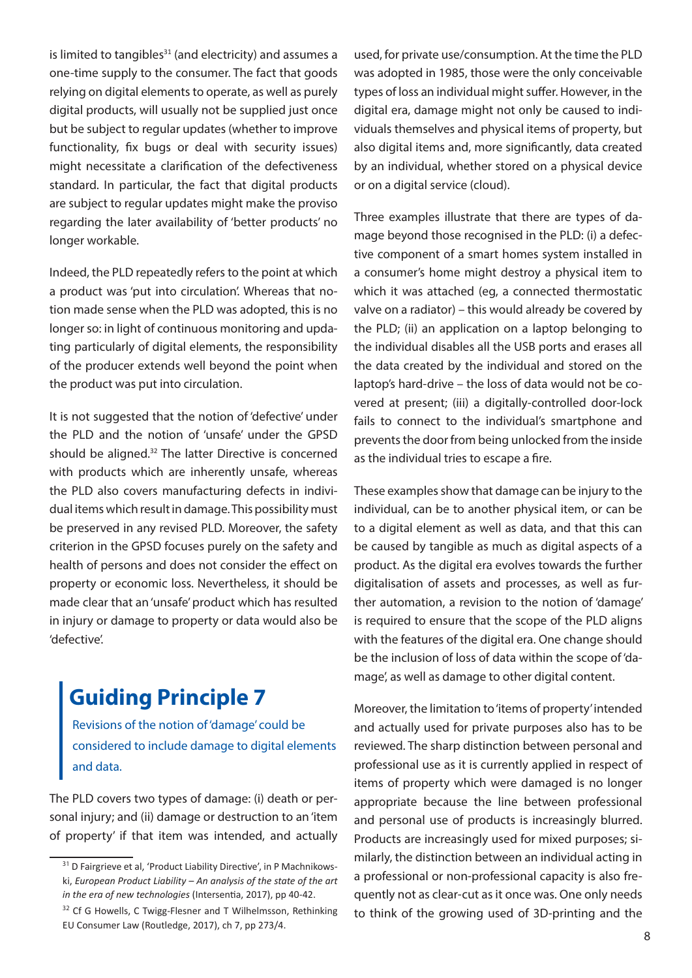<span id="page-7-0"></span>is limited to tangibles $31$  (and electricity) and assumes a one-time supply to the consumer. The fact that goods relying on digital elements to operate, as well as purely digital products, will usually not be supplied just once but be subject to regular updates (whether to improve functionality, fix bugs or deal with security issues) might necessitate a clarification of the defectiveness standard. In particular, the fact that digital products are subject to regular updates might make the proviso regarding the later availability of 'better products' no longer workable.

Indeed, the PLD repeatedly refers to the point at which a product was 'put into circulation'. Whereas that notion made sense when the PLD was adopted, this is no longer so: in light of continuous monitoring and updating particularly of digital elements, the responsibility of the producer extends well beyond the point when the product was put into circulation.

It is not suggested that the notion of 'defective' under the PLD and the notion of 'unsafe' under the GPSD should be aligned.32 The latter Directive is concerned with products which are inherently unsafe, whereas the PLD also covers manufacturing defects in individual items which result in damage. This possibility must be preserved in any revised PLD. Moreover, the safety criterion in the GPSD focuses purely on the safety and health of persons and does not consider the effect on property or economic loss. Nevertheless, it should be made clear that an 'unsafe' product which has resulted in injury or damage to property or data would also be 'defective'.

#### **Guiding Principle 7**

Revisions of the notion of 'damage' could be considered to include damage to digital elements and data.

The PLD covers two types of damage: (i) death or personal injury; and (ii) damage or destruction to an 'item of property' if that item was intended, and actually

used, for private use/consumption. At the time the PLD was adopted in 1985, those were the only conceivable types of loss an individual might suffer. However, in the digital era, damage might not only be caused to individuals themselves and physical items of property, but also digital items and, more significantly, data created by an individual, whether stored on a physical device or on a digital service (cloud).

Three examples illustrate that there are types of damage beyond those recognised in the PLD: (i) a defective component of a smart homes system installed in a consumer's home might destroy a physical item to which it was attached (eg, a connected thermostatic valve on a radiator) – this would already be covered by the PLD; (ii) an application on a laptop belonging to the individual disables all the USB ports and erases all the data created by the individual and stored on the laptop's hard-drive – the loss of data would not be covered at present; (iii) a digitally-controlled door-lock fails to connect to the individual's smartphone and prevents the door from being unlocked from the inside as the individual tries to escape a fire.

These examples show that damage can be injury to the individual, can be to another physical item, or can be to a digital element as well as data, and that this can be caused by tangible as much as digital aspects of a product. As the digital era evolves towards the further digitalisation of assets and processes, as well as further automation, a revision to the notion of 'damage' is required to ensure that the scope of the PLD aligns with the features of the digital era. One change should be the inclusion of loss of data within the scope of 'damage', as well as damage to other digital content.

Moreover, the limitation to 'items of property' intended and actually used for private purposes also has to be reviewed. The sharp distinction between personal and professional use as it is currently applied in respect of items of property which were damaged is no longer appropriate because the line between professional and personal use of products is increasingly blurred. Products are increasingly used for mixed purposes; similarly, the distinction between an individual acting in a professional or non-professional capacity is also frequently not as clear-cut as it once was. One only needs to think of the growing used of 3D-printing and the

<sup>&</sup>lt;sup>31</sup> D Fairgrieve et al, 'Product Liability Directive', in P Machnikowski, *European Product Liability – An analysis of the state of the art in the era of new technologies* (Intersentia, 2017), pp 40-42.

<sup>&</sup>lt;sup>32</sup> Cf G Howells, C Twigg-Flesner and T Wilhelmsson, Rethinking EU Consumer Law (Routledge, 2017), ch 7, pp 273/4.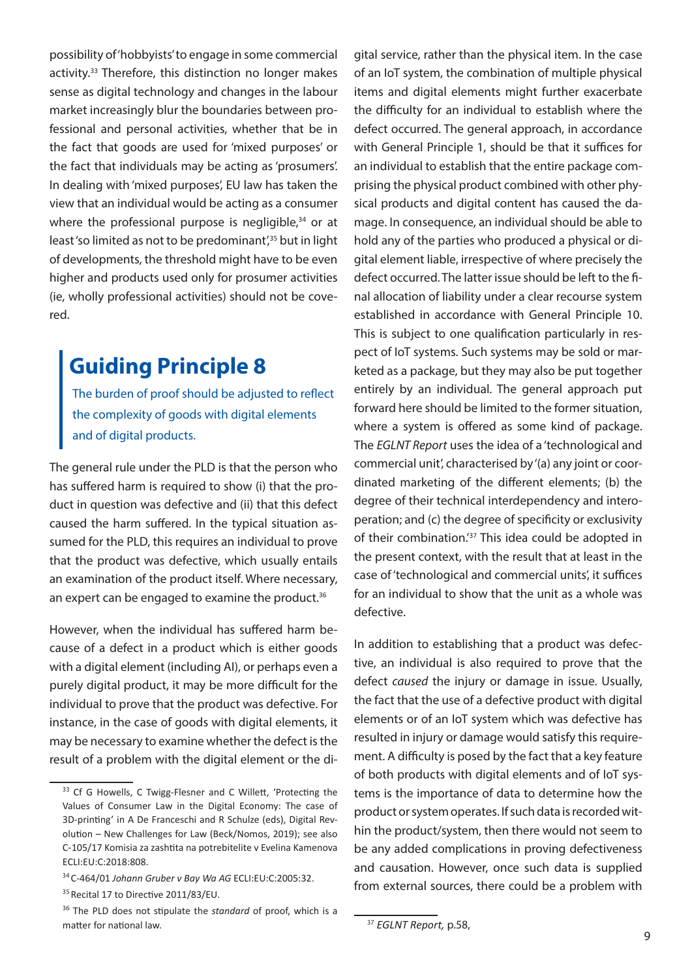<span id="page-8-0"></span>possibility of 'hobbyists' to engage in some commercial activity.33 Therefore, this distinction no longer makes sense as digital technology and changes in the labour market increasingly blur the boundaries between professional and personal activities, whether that be in the fact that goods are used for 'mixed purposes' or the fact that individuals may be acting as 'prosumers'. In dealing with 'mixed purposes', EU law has taken the view that an individual would be acting as a consumer where the professional purpose is negligible, $34$  or at least'so limited as not to be predominant',<sup>35</sup> but in light of developments, the threshold might have to be even higher and products used only for prosumer activities (ie, wholly professional activities) should not be covered.

#### **Guiding Principle 8**

The burden of proof should be adjusted to reflect the complexity of goods with digital elements and of digital products.

The general rule under the PLD is that the person who has suffered harm is required to show (i) that the product in question was defective and (ii) that this defect caused the harm suffered. In the typical situation assumed for the PLD, this requires an individual to prove that the product was defective, which usually entails an examination of the product itself. Where necessary, an expert can be engaged to examine the product.<sup>36</sup>

However, when the individual has suffered harm because of a defect in a product which is either goods with a digital element (including AI), or perhaps even a purely digital product, it may be more difficult for the individual to prove that the product was defective. For instance, in the case of goods with digital elements, it may be necessary to examine whether the defect is the result of a problem with the digital element or the di-

gital service, rather than the physical item. In the case of an IoT system, the combination of multiple physical items and digital elements might further exacerbate the difficulty for an individual to establish where the defect occurred. The general approach, in accordance with General Principle 1, should be that it suffices for an individual to establish that the entire package comprising the physical product combined with other physical products and digital content has caused the damage. In consequence, an individual should be able to hold any of the parties who produced a physical or digital element liable, irrespective of where precisely the defect occurred. The latter issue should be left to the final allocation of liability under a clear recourse system established in accordance with General Principle 10. This is subject to one qualification particularly in respect of IoT systems. Such systems may be sold or marketed as a package, but they may also be put together entirely by an individual. The general approach put forward here should be limited to the former situation, where a system is offered as some kind of package. The *EGLNT Report* uses the idea of a 'technological and commercial unit', characterised by '(a) any joint or coordinated marketing of the different elements; (b) the degree of their technical interdependency and interoperation; and (c) the degree of specificity or exclusivity of their combination.'37 This idea could be adopted in the present context, with the result that at least in the case of 'technological and commercial units', it suffices for an individual to show that the unit as a whole was defective.

In addition to establishing that a product was defective, an individual is also required to prove that the defect *caused* the injury or damage in issue. Usually, the fact that the use of a defective product with digital elements or of an IoT system which was defective has resulted in injury or damage would satisfy this requirement. A difficulty is posed by the fact that a key feature of both products with digital elements and of IoT systems is the importance of data to determine how the product or system operates. If such data is recorded within the product/system, then there would not seem to be any added complications in proving defectiveness and causation. However, once such data is supplied from external sources, there could be a problem with

<sup>&</sup>lt;sup>33</sup> Cf G Howells, C Twigg-Flesner and C Willett, 'Protecting the Values of Consumer Law in the Digital Economy: The case of 3D-printing' in A De Franceschi and R Schulze (eds), Digital Revolution – New Challenges for Law (Beck/Nomos, 2019); see also C‑105/17 Komisia za zashtita na potrebitelite v Evelina Kamenova ECLI:EU:C:2018:808.

<sup>34</sup>C-464/01 *Johann Gruber v Bay Wa AG* ECLI:EU:C:2005:32.

<sup>&</sup>lt;sup>35</sup> Recital 17 to Directive 2011/83/EU.

<sup>36</sup> The PLD does not stipulate the *standard* of proof, which is a matter for national law.

<sup>37</sup> *EGLNT Report,* p.58,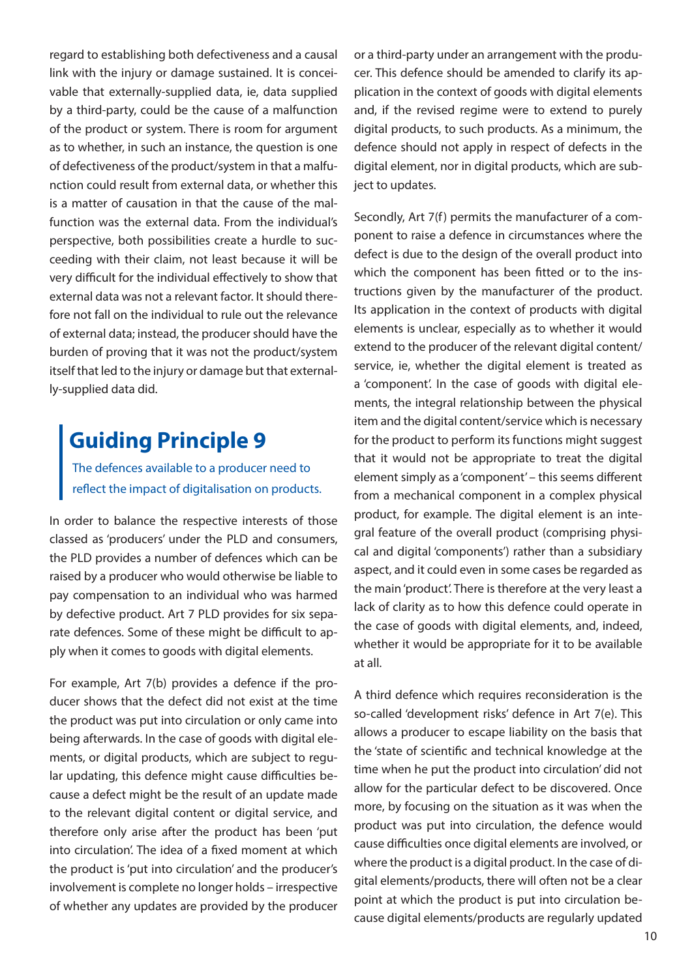<span id="page-9-0"></span>regard to establishing both defectiveness and a causal link with the injury or damage sustained. It is conceivable that externally-supplied data, ie, data supplied by a third-party, could be the cause of a malfunction of the product or system. There is room for argument as to whether, in such an instance, the question is one of defectiveness of the product/system in that a malfunction could result from external data, or whether this is a matter of causation in that the cause of the malfunction was the external data. From the individual's perspective, both possibilities create a hurdle to succeeding with their claim, not least because it will be very difficult for the individual effectively to show that external data was not a relevant factor. It should therefore not fall on the individual to rule out the relevance of external data; instead, the producer should have the burden of proving that it was not the product/system itself that led to the injury or damage but that externally-supplied data did.

# **Guiding Principle 9**

The defences available to a producer need to reflect the impact of digitalisation on products.

In order to balance the respective interests of those classed as 'producers' under the PLD and consumers, the PLD provides a number of defences which can be raised by a producer who would otherwise be liable to pay compensation to an individual who was harmed by defective product. Art 7 PLD provides for six separate defences. Some of these might be difficult to apply when it comes to goods with digital elements.

For example, Art 7(b) provides a defence if the producer shows that the defect did not exist at the time the product was put into circulation or only came into being afterwards. In the case of goods with digital elements, or digital products, which are subject to regular updating, this defence might cause difficulties because a defect might be the result of an update made to the relevant digital content or digital service, and therefore only arise after the product has been 'put into circulation'. The idea of a fixed moment at which the product is 'put into circulation' and the producer's involvement is complete no longer holds – irrespective of whether any updates are provided by the producer

or a third-party under an arrangement with the producer. This defence should be amended to clarify its application in the context of goods with digital elements and, if the revised regime were to extend to purely digital products, to such products. As a minimum, the defence should not apply in respect of defects in the digital element, nor in digital products, which are subject to updates.

Secondly, Art 7(f) permits the manufacturer of a component to raise a defence in circumstances where the defect is due to the design of the overall product into which the component has been fitted or to the instructions given by the manufacturer of the product. Its application in the context of products with digital elements is unclear, especially as to whether it would extend to the producer of the relevant digital content/ service, ie, whether the digital element is treated as a 'component'. In the case of goods with digital elements, the integral relationship between the physical item and the digital content/service which is necessary for the product to perform its functions might suggest that it would not be appropriate to treat the digital element simply as a 'component' – this seems different from a mechanical component in a complex physical product, for example. The digital element is an integral feature of the overall product (comprising physical and digital 'components') rather than a subsidiary aspect, and it could even in some cases be regarded as the main 'product'. There is therefore at the very least a lack of clarity as to how this defence could operate in the case of goods with digital elements, and, indeed, whether it would be appropriate for it to be available at all.

A third defence which requires reconsideration is the so-called 'development risks' defence in Art 7(e). This allows a producer to escape liability on the basis that the 'state of scientific and technical knowledge at the time when he put the product into circulation' did not allow for the particular defect to be discovered. Once more, by focusing on the situation as it was when the product was put into circulation, the defence would cause difficulties once digital elements are involved, or where the product is a digital product. In the case of digital elements/products, there will often not be a clear point at which the product is put into circulation because digital elements/products are regularly updated